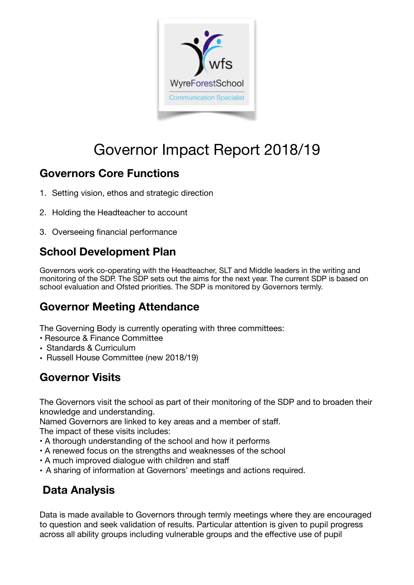

# Governor Impact Report 2018/19

## **Governors Core Functions**

- 1. Setting vision, ethos and strategic direction
- 2. Holding the Headteacher to account
- 3. Overseeing financial performance

# **School Development Plan**

Governors work co-operating with the Headteacher, SLT and Middle leaders in the writing and monitoring of the SDP. The SDP sets out the aims for the next year. The current SDP is based on school evaluation and Ofsted priorities. The SDP is monitored by Governors termly.

## **Governor Meeting Attendance**

The Governing Body is currently operating with three committees:

- Resource & Finance Committee
- Standards & Curriculum
- Russell House Committee (new 2018/19)

# **Governor Visits**

The Governors visit the school as part of their monitoring of the SDP and to broaden their knowledge and understanding.

Named Governors are linked to key areas and a member of staff.

The impact of these visits includes:

- A thorough understanding of the school and how it performs
- A renewed focus on the strengths and weaknesses of the school
- A much improved dialogue with children and staff
- A sharing of information at Governors' meetings and actions required.

## **Data Analysis**

Data is made available to Governors through termly meetings where they are encouraged to question and seek validation of results. Particular attention is given to pupil progress across all ability groups including vulnerable groups and the effective use of pupil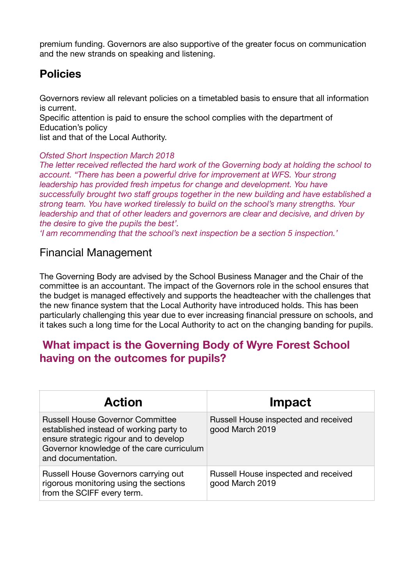premium funding. Governors are also supportive of the greater focus on communication and the new strands on speaking and listening.

#### **Policies**

Governors review all relevant policies on a timetabled basis to ensure that all information is current.

Specific attention is paid to ensure the school complies with the department of Education's policy

list and that of the Local Authority.

#### *Ofsted Short Inspection March 2018*

*The letter received reflected the hard work of the Governing body at holding the school to account. "There has been a powerful drive for improvement at WFS. Your strong leadership has provided fresh impetus for change and development. You have successfully brought two staff groups together in the new building and have established a strong team. You have worked tirelessly to build on the school's many strengths. Your leadership and that of other leaders and governors are clear and decisive, and driven by the desire to give the pupils the best'.* 

*'I am recommending that the school's next inspection be a section 5 inspection.'* 

#### Financial Management

The Governing Body are advised by the School Business Manager and the Chair of the committee is an accountant. The impact of the Governors role in the school ensures that the budget is managed effectively and supports the headteacher with the challenges that the new finance system that the Local Authority have introduced holds. This has been particularly challenging this year due to ever increasing financial pressure on schools, and it takes such a long time for the Local Authority to act on the changing banding for pupils.

#### **What impact is the Governing Body of Wyre Forest School having on the outcomes for pupils?**

| <b>Action</b>                                                                                                                                                                                   | Impact                                                  |
|-------------------------------------------------------------------------------------------------------------------------------------------------------------------------------------------------|---------------------------------------------------------|
| <b>Russell House Governor Committee</b><br>established instead of working party to<br>ensure strategic rigour and to develop<br>Governor knowledge of the care curriculum<br>and documentation. | Russell House inspected and received<br>good March 2019 |
| Russell House Governors carrying out<br>rigorous monitoring using the sections<br>from the SCIFF every term.                                                                                    | Russell House inspected and received<br>good March 2019 |